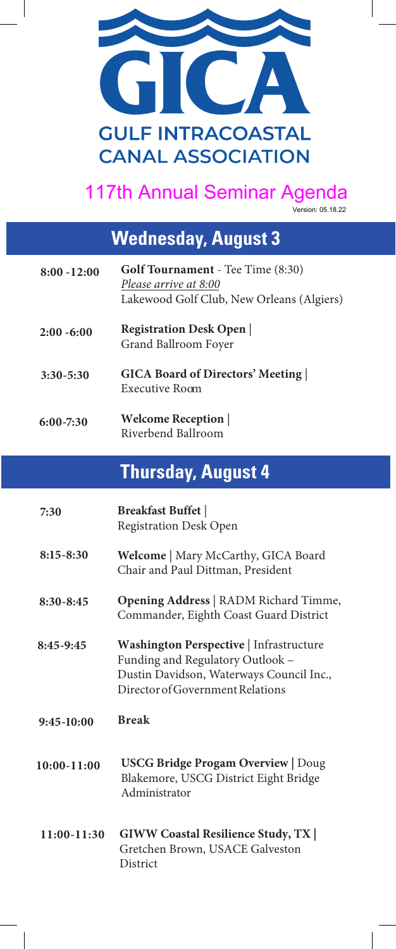

#### 117th Annual Seminar Agenda

Version: 05.18.22

# **Wednesday, August 3**

| $8:00 - 12:00$ | <b>Golf Tournament</b> - Tee Time (8:30)<br>Please arrive at 8:00<br>Lakewood Golf Club, New Orleans (Algiers) |
|----------------|----------------------------------------------------------------------------------------------------------------|
| $2:00 - 6:00$  | <b>Registration Desk Open</b><br>Grand Ballroom Foyer                                                          |
| $3:30 - 5:30$  | <b>GICA Board of Directors' Meeting</b><br>Executive Room                                                      |
| $6:00 - 7:30$  | <b>Welcome Reception</b><br>Riverbend Ballroom                                                                 |

### **Thursday, August 4**

| 7:30            | <b>Breakfast Buffet</b><br><b>Registration Desk Open</b>                                                                                                    |
|-----------------|-------------------------------------------------------------------------------------------------------------------------------------------------------------|
| $8:15 - 8:30$   | Welcome   Mary McCarthy, GICA Board<br>Chair and Paul Dittman, President                                                                                    |
| $8:30 - 8:45$   | <b>Opening Address</b>   RADM Richard Timme,<br>Commander, Eighth Coast Guard District                                                                      |
| $8:45-9:45$     | Washington Perspective   Infrastructure<br>Funding and Regulatory Outlook -<br>Dustin Davidson, Waterways Council Inc.,<br>Director of Government Relations |
| $9:45-10:00$    | <b>Break</b>                                                                                                                                                |
| $10:00 - 11:00$ | <b>USCG Bridge Progam Overview   Doug</b><br>Blakemore, USCG District Eight Bridge<br>Administrator                                                         |
| $11:00-11:30$   | <b>GIWW Coastal Resilience Study, TX  </b><br>Gretchen Brown, USACE Galveston<br>District                                                                   |